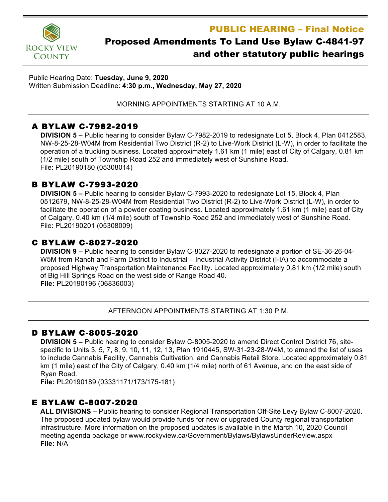PUBLIC HEARING – Final Notice



# Proposed Amendments To Land Use Bylaw C-4841-97 and other statutory public hearings

Public Hearing Date: **Tuesday, June 9, 2020** Written Submission Deadline: **4:30 p.m., Wednesday, May 27, 2020**

MORNING APPOINTMENTS STARTING AT 10 A.M.

# A BYLAW C-7982-2019

**DIVISION 5 –** Public hearing to consider Bylaw C-7982-2019 to redesignate Lot 5, Block 4, Plan 0412583, NW-8-25-28-W04M from Residential Two District (R-2) to Live-Work District (L-W), in order to facilitate the operation of a trucking business. Located approximately 1.61 km (1 mile) east of City of Calgary, 0.81 km (1/2 mile) south of Township Road 252 and immediately west of Sunshine Road. File: PL20190180 (05308014)

# B BYLAW C-7993-2020

**DIVISION 5 –** Public hearing to consider Bylaw C-7993-2020 to redesignate Lot 15, Block 4, Plan 0512679, NW-8-25-28-W04M from Residential Two District (R-2) to Live-Work District (L-W), in order to facilitate the operation of a powder coating business. Located approximately 1.61 km (1 mile) east of City of Calgary, 0.40 km (1/4 mile) south of Township Road 252 and immediately west of Sunshine Road. File: PL20190201 (05308009)

# C BYLAW C-8027-2020

**DIVISION 9 –** Public hearing to consider Bylaw C-8027-2020 to redesignate a portion of SE-36-26-04- W5M from Ranch and Farm District to Industrial – Industrial Activity District (I-IA) to accommodate a proposed Highway Transportation Maintenance Facility. Located approximately 0.81 km (1/2 mile) south of Big Hill Springs Road on the west side of Range Road 40. **File:** PL20190196 (06836003)

AFTERNOON APPOINTMENTS STARTING AT 1:30 P.M.

#### D BYLAW C-8005-2020

**DIVISION 5 –** Public hearing to consider Bylaw C-8005-2020 to amend Direct Control District 76, sitespecific to Units 3, 5, 7, 8, 9, 10, 11, 12, 13, Plan 1910445, SW-31-23-28-W4M, to amend the list of uses to include Cannabis Facility, Cannabis Cultivation, and Cannabis Retail Store. Located approximately 0.81 km (1 mile) east of the City of Calgary, 0.40 km (1/4 mile) north of 61 Avenue, and on the east side of Ryan Road.

**File:** PL20190189 (03331171/173/175-181)

# E BYLAW C-8007-2020

**ALL DIVISIONS –** Public hearing to consider Regional Transportation Off-Site Levy Bylaw C-8007-2020. The proposed updated bylaw would provide funds for new or upgraded County regional transportation infrastructure. More information on the proposed updates is available in the March 10, 2020 Council meeting agenda package or www.rockyview.ca/Government/Bylaws/BylawsUnderReview.aspx **File:** N/A